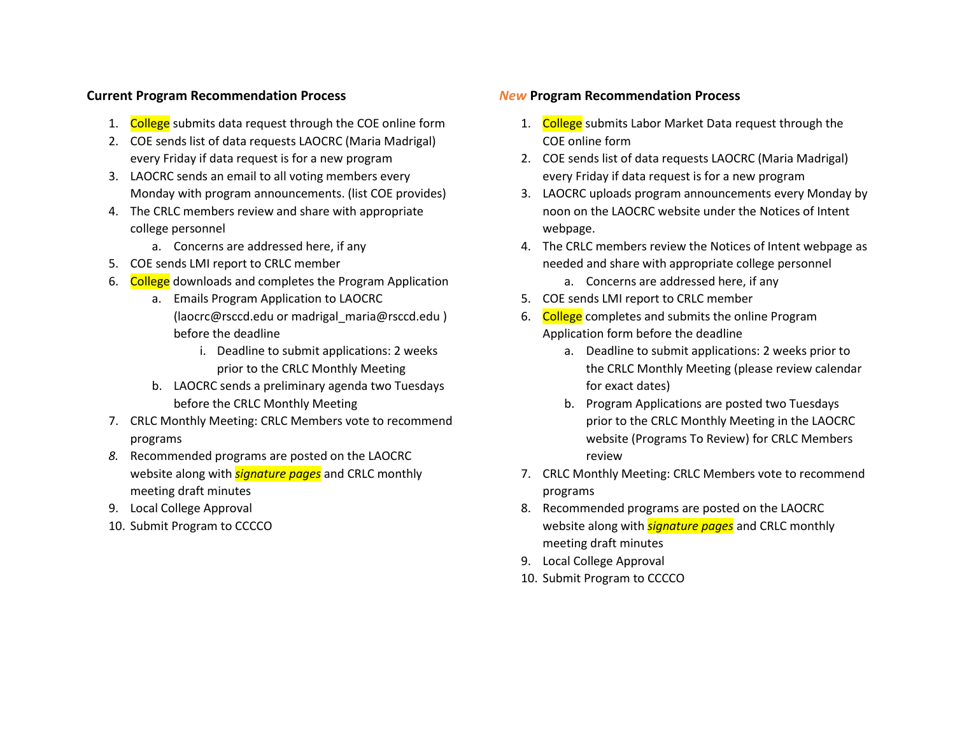## **Current Program Recommendation Process**

- 1. College submits data request through the COE online form
- 2. COE sends list of data requests LAOCRC (Maria Madrigal) every Friday if data request is for a new program
- 3. LAOCRC sends an email to all voting members every Monday with program announcements. (list COE provides)
- 4. The CRLC members review and share with appropriate college personnel
	- a. Concerns are addressed here, if any
- 5. COE sends LMI report to CRLC member
- 6. College downloads and completes the Program Application
	- a. Emails Program Application to LAOCRC (laocrc@rsccd.edu or madrigal\_maria@rsccd.edu ) before the deadline
		- i. Deadline to submit applications: 2 weeks prior to the CRLC Monthly Meeting
	- b. LAOCRC sends a preliminary agenda two Tuesdays before the CRLC Monthly Meeting
- 7. CRLC Monthly Meeting: CRLC Members vote to recommend programs
- *8.* Recommended programs are posted on the LAOCRC website along with *signature pages* and CRLC monthly meeting draft minutes
- 9. Local College Approval
- 10. Submit Program to CCCCO

## *New* **Program Recommendation Process**

- 1. College submits Labor Market Data request through the COE online form
- 2. COE sends list of data requests LAOCRC (Maria Madrigal) every Friday if data request is for a new program
- 3. LAOCRC uploads program announcements every Monday by noon on the LAOCRC website under the Notices of Intent webpage.
- 4. The CRLC members review the Notices of Intent webpage as needed and share with appropriate college personnel
	- a. Concerns are addressed here, if any
- 5. COE sends LMI report to CRLC member
- 6. College completes and submits the online Program Application form before the deadline
	- a. Deadline to submit applications: 2 weeks prior to the CRLC Monthly Meeting (please review calendar for exact dates)
	- b. Program Applications are posted two Tuesdays prior to the CRLC Monthly Meeting in the LAOCRC website (Programs To Review) for CRLC Members review
- 7. CRLC Monthly Meeting: CRLC Members vote to recommend programs
- 8. Recommended programs are posted on the LAOCRC website along with *signature pages* and CRLC monthly meeting draft minutes
- 9. Local College Approval
- 10. Submit Program to CCCCO